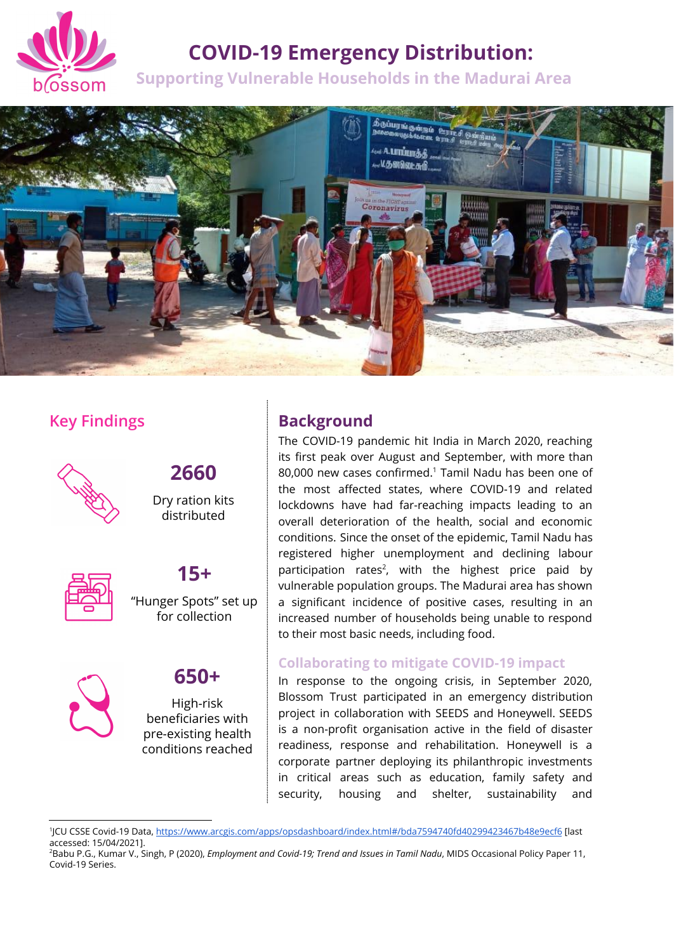

## **COVID-19 Emergency Distribution:**

**Supporting Vulnerable Households in the Madurai Area**



### **Key Findings**



# **2660**

Dry ration kits distributed



# **15+**

"Hunger Spots" set up for collection



# **650+**

High-risk beneficiaries with pre-existing health conditions reached

## **Background**

The COVID-19 pandemic hit India in March 2020, reaching its first peak over August and September, with more than  $80,000$  new cases confirmed. $1$  Tamil Nadu has been one of the most affected states, where COVID-19 and related lockdowns have had far-reaching impacts leading to an overall deterioration of the health, social and economic conditions. Since the onset of the epidemic, Tamil Nadu has registered higher unemployment and declining labour participation rates<sup>2</sup>, with the highest price paid by vulnerable population groups. The Madurai area has shown a significant incidence of positive cases, resulting in an increased number of households being unable to respond to their most basic needs, including food.

#### **Collaborating to mitigate COVID-19 impact**

In response to the ongoing crisis, in September 2020, Blossom Trust participated in an emergency distribution project in collaboration with SEEDS and Honeywell. SEEDS is a non-profit organisation active in the field of disaster readiness, response and rehabilitation. Honeywell is a corporate partner deploying its philanthropic investments in critical areas such as education, family safety and security, housing and shelter, sustainability and

<sup>1</sup> JCU CSSE Covid-19 Data, <https://www.arcgis.com/apps/opsdashboard/index.html#/bda7594740fd40299423467b48e9ecf6> [last accessed: 15/04/2021].

<sup>2</sup>Babu P.G., Kumar V., Singh, P (2020), *Employment and Covid-19; Trend and Issues in Tamil Nadu*, MIDS Occasional Policy Paper 11, Covid-19 Series.